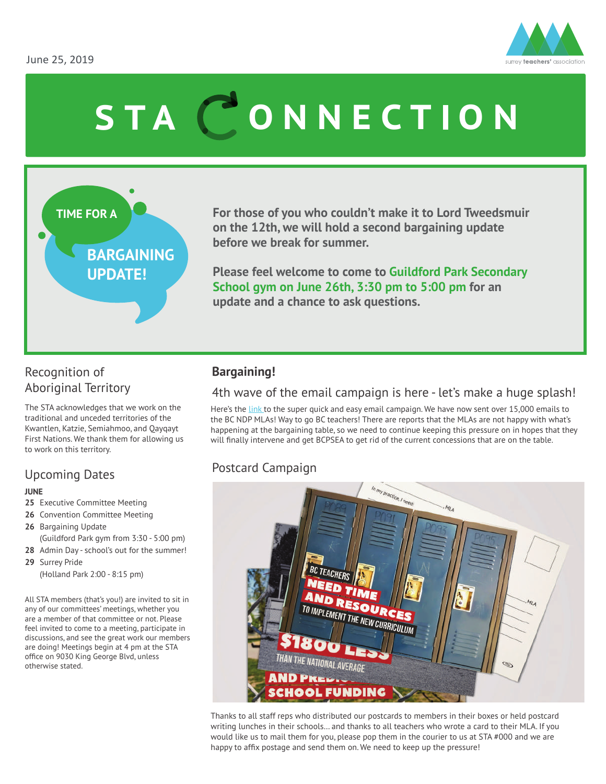

# STA CONNECTION

### **TIME FOR A BARGAINING UPDATE!**

**For those of you who couldn't make it to Lord Tweedsmuir on the 12th, we will hold a second bargaining update before we break for summer.** 

**Please feel welcome to come to Guildford Park Secondary School gym on June 26th, 3:30 pm to 5:00 pm for an update and a chance to ask questions.** 

#### Recognition of Aboriginal Territory

The STA acknowledges that we work on the traditional and unceded territories of the Kwantlen, Katzie, Semiahmoo, and Qayqayt First Nations. We thank them for allowing us to work on this territory.

#### Upcoming Dates

#### **JUNE**

- **25** Executive Committee Meeting
- **26** Convention Committee Meeting
- **26** Bargaining Update (Guildford Park gym from 3:30 - 5:00 pm)
- **28** Admin Day school's out for the summer!
- **29** Surrey Pride (Holland Park 2:00 - 8:15 pm)

All STA members (that's you!) are invited to sit in any of our committees' meetings, whether you are a member of that committee or not. Please feel invited to come to a meeting, participate in discussions, and see the great work our members are doing! Meetings begin at 4 pm at the STA office on 9030 King George Blvd, unless otherwise stated.

#### **Bargaining!**

#### 4th wave of the email campaign is here - let's make a huge splash!

Here's the [link](https://www.bctf.ca/form.aspx?id=54162) to the super quick and easy email campaign. We have now sent over 15,000 emails to the BC NDP MLAs! Way to go BC teachers! There are reports that the MLAs are not happy with what's happening at the bargaining table, so we need to continue keeping this pressure on in hopes that they will finally intervene and get BCPSEA to get rid of the current concessions that are on the table.

#### Postcard Campaign



Thanks to all staff reps who distributed our postcards to members in their boxes or held postcard writing lunches in their schools… and thanks to all teachers who wrote a card to their MLA. If you would like us to mail them for you, please pop them in the courier to us at STA #000 and we are happy to affix postage and send them on. We need to keep up the pressure!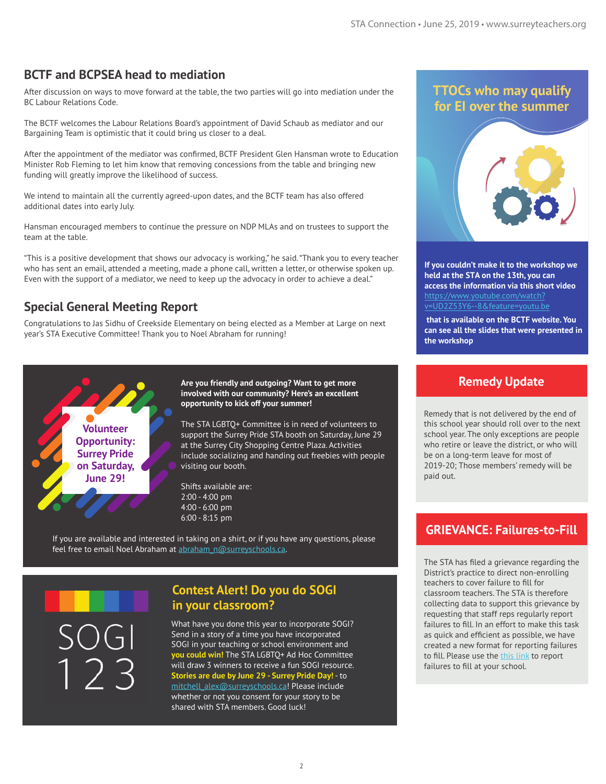#### **BCTF and BCPSEA head to mediation**

After discussion on ways to move forward at the table, the two parties will go into mediation under the BC Labour Relations Code.

The BCTF welcomes the Labour Relations Board's appointment of David Schaub as mediator and our Bargaining Team is optimistic that it could bring us closer to a deal.

After the appointment of the mediator was confirmed, BCTF President Glen Hansman wrote to Education Minister Rob Fleming to let him know that removing concessions from the table and bringing new funding will greatly improve the likelihood of success.

We intend to maintain all the currently agreed-upon dates, and the BCTF team has also offered additional dates into early July.

Hansman encouraged members to continue the pressure on NDP MLAs and on trustees to support the team at the table.

"This is a positive development that shows our advocacy is working," he said. "Thank you to every teacher who has sent an email, attended a meeting, made a phone call, written a letter, or otherwise spoken up. Even with the support of a mediator, we need to keep up the advocacy in order to achieve a deal."

#### **Special General Meeting Report**

Congratulations to Jas Sidhu of Creekside Elementary on being elected as a Member at Large on next year's STA Executive Committee! Thank you to Noel Abraham for running!



**Are you friendly and outgoing? Want to get more involved with our community? Here's an excellent opportunity to kick off your summer!**

The STA LGBTQ+ Committee is in need of volunteers to support the Surrey Pride STA booth on Saturday, June 29 at the Surrey City Shopping Centre Plaza. Activities include socializing and handing out freebies with people visiting our booth.

Shifts available are: 2:00 - 4:00 pm 4:00 - 6:00 pm 6:00 - 8:15 pm

If you are available and interested in taking on a shirt, or if you have any questions, please feel free to email Noel Abraham at abraham\_n@surreyschools.ca.

#### **Contest Alert! Do you do SOGI in your classroom?**

What have you done this year to incorporate SOGI? Send in a story of a time you have incorporated SOGI in your teaching or school environment and **you could win!** The STA LGBTQ+ Ad Hoc Committee will draw 3 winners to receive a fun SOGI resource. **Stories are due by June 29 - Surrey Pride Day!** - to mitchell\_alex@surreyschools.ca! Please include whether or not you consent for your story to be shared with STA members. Good luck!

#### **TTOCs who may qualify for EI over the summer**



**If you couldn't make it to the workshop we held at the STA on the 13th, you can access the information via this short video**  https://www.youtube.com/watch [v=UD2Z53Y6--8&feature=youtu.be](https://www.youtube.com/watch?v=UD2Z53Y6--8&feature=youtu.be)

 **that is available on the BCTF website. You can see all the slides that were presented in the workshop**

#### **Remedy Update**

Remedy that is not delivered by the end of this school year should roll over to the next school year. The only exceptions are people who retire or leave the district, or who will be on a long-term leave for most of 2019-20; Those members' remedy will be paid out.

#### **GRIEVANCE: Failures-to-Fill**

The STA has filed a grievance regarding the District's practice to direct non-enrolling teachers to cover failure to fill for classroom teachers. The STA is therefore collecting data to support this grievance by requesting that staff reps regularly report failures to fill. In an effort to make this task as quick and efficient as possible, we have created a new format for reporting failures to fill. Please use the [this link](https://docs.google.com/forms/d/e/1FAIpQLSfaM0t0AXyEZUyMpAt71QxCAd35PHT8Jf4uyw33jX8Clg0dWw/viewform) to report failures to fill at your school.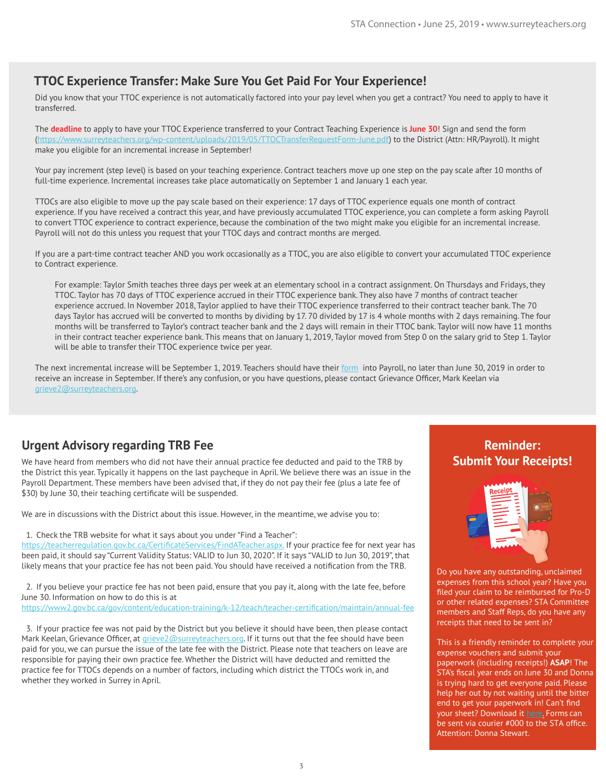#### **TTOC Experience Transfer: Make Sure You Get Paid For Your Experience!**

Did you know that your TTOC experience is not automatically factored into your pay level when you get a contract? You need to apply to have it transferred.

The **deadline** to apply to have your TTOC Experience transferred to your Contract Teaching Experience is **June 30**! Sign and send the form (https://www.surreyteachers.org/wp-content/uploads/2019/05/TTOCTransferRequestForm-June.pdf) to the District (Attn: HR/Payroll). It might make you eligible for an incremental increase in September!

Your pay increment (step level) is based on your teaching experience. Contract teachers move up one step on the pay scale after 10 months of full-time experience. Incremental increases take place automatically on September 1 and January 1 each year.

TTOCs are also eligible to move up the pay scale based on their experience: 17 days of TTOC experience equals one month of contract experience. If you have received a contract this year, and have previously accumulated TTOC experience, you can complete a form asking Payroll to convert TTOC experience to contract experience, because the combination of the two might make you eligible for an incremental increase. Payroll will not do this unless you request that your TTOC days and contract months are merged.

If you are a part-time contract teacher AND you work occasionally as a TTOC, you are also eligible to convert your accumulated TTOC experience to Contract experience.

For example: Taylor Smith teaches three days per week at an elementary school in a contract assignment. On Thursdays and Fridays, they TTOC. Taylor has 70 days of TTOC experience accrued in their TTOC experience bank. They also have 7 months of contract teacher experience accrued. In November 2018, Taylor applied to have their TTOC experience transferred to their contract teacher bank. The 70 days Taylor has accrued will be converted to months by dividing by 17. 70 divided by 17 is 4 whole months with 2 days remaining. The four months will be transferred to Taylor's contract teacher bank and the 2 days will remain in their TTOC bank. Taylor will now have 11 months in their contract teacher experience bank. This means that on January 1, 2019, Taylor moved from Step 0 on the salary grid to Step 1. Taylor will be able to transfer their TTOC experience twice per year.

The next incremental increase will be September 1, 2019. Teachers should have their [form](https://www.surreyteachers.org/wp-content/uploads/2019/05/TTOCTransferRequestForm-June.pdf) into Payroll, no later than June 30, 2019 in order to receive an increase in September. If there's any confusion, or you have questions, please contact Grievance Officer, Mark Keelan via grieve2@surreyteachers.org.

#### **Urgent Advisory regarding TRB Fee**

We have heard from members who did not have their annual practice fee deducted and paid to the TRB by the District this year. Typically it happens on the last paycheque in April. We believe there was an issue in the Payroll Department. These members have been advised that, if they do not pay their fee (plus a late fee of \$30) by June 30, their teaching certificate will be suspended.

We are in discussions with the District about this issue. However, in the meantime, we advise you to:

1. Check the TRB website for what it says about you under "Find a Teacher":

https://teacherregulation.gov.bc.ca/CertificateServices/FindATeacher.aspx. If your practice fee for next year has been paid, it should say "Current Validity Status: VALID to Jun 30, 2020". If it says "VALID to Jun 30, 2019", that likely means that your practice fee has not been paid. You should have received a notification from the TRB.

2. If you believe your practice fee has not been paid, ensure that you pay it, along with the late fee, before June 30. Information on how to do this is at

https://www2.gov.bc.ca/gov/content/education-training/k-12/teach/teacher-certification/maintain/annual-fee

3. If your practice fee was not paid by the District but you believe it should have been, then please contact Mark Keelan, Grievance Officer, at grieve2@surreyteachers.org. If it turns out that the fee should have been paid for you, we can pursue the issue of the late fee with the District. Please note that teachers on leave are responsible for paying their own practice fee. Whether the District will have deducted and remitted the practice fee for TTOCs depends on a number of factors, including which district the TTOCs work in, and whether they worked in Surrey in April.

#### **Reminder: Submit Your Receipts!**



Do you have any outstanding, unclaimed expenses from this school year? Have you filed your claim to be reimbursed for Pro-D or other related expenses? STA Committee members and Staff Reps, do you have any receipts that need to be sent in?

This is a friendly reminder to complete your expense vouchers and submit your paperwork (including receipts!) **ASAP**! The STA's fiscal year ends on June 30 and Donna is trying hard to get everyone paid. Please help her out by not waiting until the bitter end to get your paperwork in! Can't find your sheet? Download it [here.](https://www.surreyteachers.org/wp-content/uploads/2018/10/STA-ExpenseVoucher-2018-19.pdf) Forms can be sent via courier #000 to the STA office. Attention: Donna Stewart.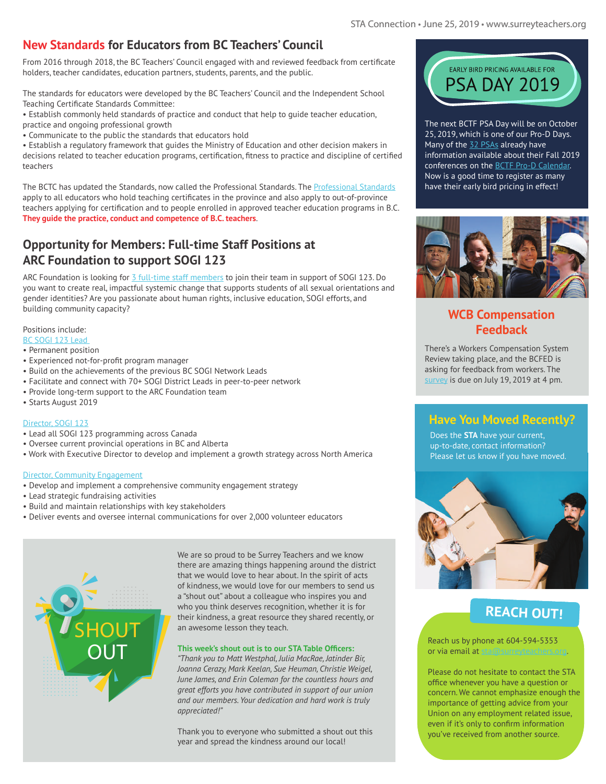#### **New Standards for Educators from BC Teachers' Council**

From 2016 through 2018, the BC Teachers' Council engaged with and reviewed feedback from certificate holders, teacher candidates, education partners, students, parents, and the public.

The standards for educators were developed by the BC Teachers' Council and the Independent School Teaching Certificate Standards Committee:

• Establish commonly held standards of practice and conduct that help to guide teacher education, practice and ongoing professional growth

• Communicate to the public the standards that educators hold

• Establish a regulatory framework that guides the Ministry of Education and other decision makers in decisions related to teacher education programs, certification, fitness to practice and discipline of certified teachers

apply to all educators wno nold teacning certificates in the province and also apply to out-of-province<br>teachers applying for certification and to people enrolled in approved teacher education programs in B.C. **They guide the practice, conduct and competence of B.C. teachers.** The BCTC has updated the Standards, now called the Professional Standards. The [Professional Standards](https://www2.gov.bc.ca/assets/gov/education/kindergarten-to-grade-12/teach/teacher-regulation/standards-for-educators/edu_standards.pdf) apply to all educators who hold teaching certificates in the province and also apply to out-of-province

#### **Opportunity for Members: Full-time Staff Positions at**  $\Box$ **ARC Foundation to support SOGI 123**

ARC Foundation to support SOGI 123<br>ARC Foundation is looking for [3 full-time staff members](https://www.sogieducation.org/careers) to join their team in support of SOGI 123. Do you want to create real, impactful systemic change that supports students of all sexual orientations and gender identities? Are you passionate about human rights, inclusive education, SOGI efforts, and building community capacity?

#### Positions include:

- [BC SOGI 123 Lead](https://www.sogieducation.org/bc-sogi-1-2-3-1)
- Permanent position
- Experienced not-for-profit program manager
- Build on the achievements of the previous BC SOGI Network Leads
- Facilitate and connect with 70+ SOGI District Leads in peer-to-peer network
- Provide long-term support to the ARC Foundation team

#### • Starts August 2019

#### [Director, SOGI 123](https://www.sogieducation.org/director-sogi123)

- Lead all SOGI 123 programming across Canada
- Oversee current provincial operations in BC and Alberta
- Work with Executive Director to develop and implement a growth strategy across North America

#### [Director, Community Engagement](https://www.sogieducation.org/director-community-engagement)

- Develop and implement a comprehensive community engagement strategy
- Lead strategic fundraising activities
- Build and maintain relationships with key stakeholders
- Deliver events and oversee internal communications for over 2,000 volunteer educators



We are so proud to be Surrey Teachers and we know there are amazing things happening around the district that we would love to hear about. In the spirit of acts of kindness, we would love for our members to send us a "shout out" about a colleague who inspires you and who you think deserves recognition, whether it is for their kindness, a great resource they shared recently, or an awesome lesson they teach.

#### **This week's shout out is to our STA Table Officers:**

*"Thank you to Matt Westphal, Julia MacRae, Jatinder Bir, Joanna Cerazy, Mark Keelan, Sue Heuman, Christie Weigel, June James, and Erin Coleman for the countless hours and great efforts you have contributed in support of our union and our members. Your dedication and hard work is truly appreciated!"* 

Thank you to everyone who submitted a shout out this year and spread the kindness around our local!



The next BCTF PSA Day will be on October 25, 2019, which is one of our Pro-D Days. Many of the [32 PSAs](https://bctf.ca/PSAs.aspx) already have information available about their Fall 2019 conferences on the [BCTF Pro-D Calendar](https://bctf.ca/PDCalendar/index.cfm?action=month&month=10&year=2019). Now is a good time to register as many have their early bird pricing in effect!



#### **WCB Compensation Feedback**

There's a Workers Compensation System Review taking place, and the BCFED is asking for feedback from workers. The [survey](https://engage.gov.bc.ca/workerscompensationreview/) is due on July 19, 2019 at 4 pm.

#### **Have You Moved Recently?**

Does the **STA** have your current, up-to-date, contact information? Please let us know if you have moved.



#### **REACH OUT!**

Reach us by phone at 604-594-5353 or via email at sta@surreyteachers.org.

Please do not hesitate to contact the STA office whenever you have a question or concern. We cannot emphasize enough the importance of getting advice from your Union on any employment related issue, even if it's only to confirm information you've received from another source.